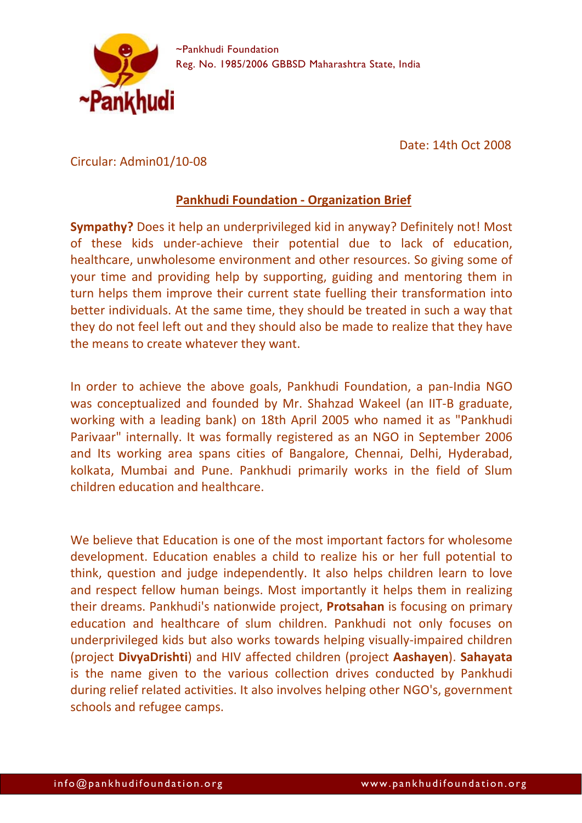

Date: 14th Oct 2008

Circular: Admin01/10‐08

## **Pankhudi Foundation ‐ Organization Brief**

**Sympathy?** Does it help an underprivileged kid in anyway? Definitely not! Most of these kids under‐achieve their potential due to lack of education, healthcare, unwholesome environment and other resources. So giving some of your time and providing help by supporting, guiding and mentoring them in turn helps them improve their current state fuelling their transformation into better individuals. At the same time, they should be treated in such a way that they do not feel left out and they should also be made to realize that they have the means to create whatever they want.

In order to achieve the above goals, Pankhudi Foundation, a pan‐India NGO was conceptualized and founded by Mr. Shahzad Wakeel (an IIT‐B graduate, working with a leading bank) on 18th April 2005 who named it as "Pankhudi Parivaar" internally. It was formally registered as an NGO in September 2006 and Its working area spans cities of Bangalore, Chennai, Delhi, Hyderabad, kolkata, Mumbai and Pune. Pankhudi primarily works in the field of Slum children education and healthcare.

We believe that Education is one of the most important factors for wholesome development. Education enables a child to realize his or her full potential to think, question and judge independently. It also helps children learn to love and respect fellow human beings. Most importantly it helps them in realizing their dreams. Pankhudi's nationwide project, **Protsahan** is focusing on primary education and healthcare of slum children. Pankhudi not only focuses on underprivileged kids but also works towards helping visually‐impaired children (project **DivyaDrishti**) and HIV affected children (project **Aashayen**). **Sahayata** is the name given to the various collection drives conducted by Pankhudi during relief related activities. It also involves helping other NGO's, government schools and refugee camps.